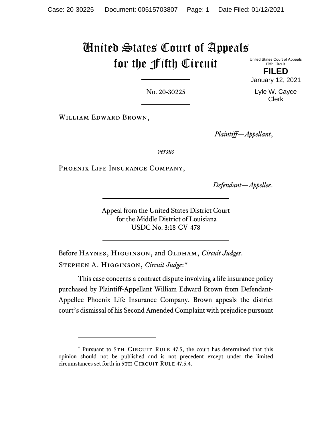# United States Court of Appeals for the Fifth Circuit

United States Court of Appeals Fifth Circuit

**FILED** January 12, 2021

No. 20-30225

William Edward Brown,

*Plaintiff—Appellant*,

*versus*

PHOENIX LIFE INSURANCE COMPANY,

*Defendant—Appellee*.

Appeal from the United States District Court for the Middle District of Louisiana USDC No. 3:18-CV-478

Before HAYNES, HIGGINSON, and OLDHAM, *Circuit Judges*. Stephen A. Higginson, *Circuit Judge*:[\\*](#page-0-0)

This case concerns a contract dispute involving a life insurance policy purchased by Plaintiff-Appellant William Edward Brown from Defendant-Appellee Phoenix Life Insurance Company. Brown appeals the district court's dismissal of his Second Amended Complaint with prejudice pursuant

Lyle W. Cayce Clerk

<span id="page-0-0"></span><sup>\*</sup> Pursuant to 5TH CIRCUIT RULE 47.5, the court has determined that this opinion should not be published and is not precedent except under the limited circumstances set forth in 5TH CIRCUIT RULE 47.5.4.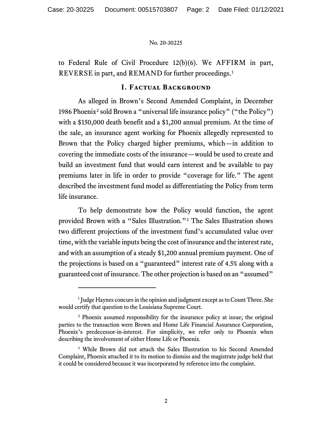to Federal Rule of Civil Procedure 12(b)(6). We AFFIRM in part, REVERSE in part, and REMAND for further proceedings.<sup>[1](#page-1-0)</sup>

### **I. Factual Background**

As alleged in Brown's Second Amended Complaint, in December 1986 Phoenix[2](#page-1-1) sold Brown a "universal life insurance policy" ("the Policy") with a \$150,000 death benefit and a \$1,200 annual premium. At the time of the sale, an insurance agent working for Phoenix allegedly represented to Brown that the Policy charged higher premiums, which—in addition to covering the immediate costs of the insurance—would be used to create and build an investment fund that would earn interest and be available to pay premiums later in life in order to provide "coverage for life." The agent described the investment fund model as differentiating the Policy from term life insurance.

To help demonstrate how the Policy would function, the agent provided Brown with a "Sales Illustration."[3](#page-1-2) The Sales Illustration shows two different projections of the investment fund's accumulated value over time, with the variable inputs being the cost of insurance and the interest rate, and with an assumption of a steady \$1,200 annual premium payment. One of the projections is based on a "guaranteed" interest rate of 4.5% along with a guaranteed cost of insurance. The other projection is based on an "assumed"

<span id="page-1-0"></span><sup>&</sup>lt;sup>1</sup> Judge Haynes concurs in the opinion and judgment except as to Count Three. She would certify that question to the Louisiana Supreme Court.

<span id="page-1-1"></span><sup>2</sup> Phoenix assumed responsibility for the insurance policy at issue; the original parties to the transaction were Brown and Home Life Financial Assurance Corporation, Phoenix's predecessor-in-interest. For simplicity, we refer only to Phoenix when describing the involvement of either Home Life or Phoenix.

<span id="page-1-2"></span><sup>&</sup>lt;sup>3</sup> While Brown did not attach the Sales Illustration to his Second Amended Complaint, Phoenix attached it to its motion to dismiss and the magistrate judge held that it could be considered because it was incorporated by reference into the complaint.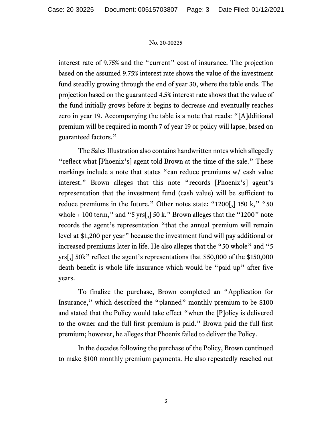interest rate of 9.75% and the "current" cost of insurance. The projection based on the assumed 9.75% interest rate shows the value of the investment fund steadily growing through the end of year 30, where the table ends. The projection based on the guaranteed 4.5% interest rate shows that the value of the fund initially grows before it begins to decrease and eventually reaches zero in year 19. Accompanying the table is a note that reads: "[A]dditional premium will be required in month 7 of year 19 or policy will lapse, based on guaranteed factors."

The Sales Illustration also contains handwritten notes which allegedly "reflect what [Phoenix's] agent told Brown at the time of the sale." These markings include a note that states "can reduce premiums w/ cash value interest." Brown alleges that this note "records [Phoenix's] agent's representation that the investment fund (cash value) will be sufficient to reduce premiums in the future." Other notes state: "1200[,] 150 k," "50 whole  $+100$  term," and "5 yrs[,] 50 k." Brown alleges that the "1200" note records the agent's representation "that the annual premium will remain level at \$1,200 per year" because the investment fund will pay additional or increased premiums later in life. He also alleges that the "50 whole" and "5 yrs[,] 50k" reflect the agent's representations that \$50,000 of the \$150,000 death benefit is whole life insurance which would be "paid up" after five years.

To finalize the purchase, Brown completed an "Application for Insurance," which described the "planned" monthly premium to be \$100 and stated that the Policy would take effect "when the [P]olicy is delivered to the owner and the full first premium is paid." Brown paid the full first premium; however, he alleges that Phoenix failed to deliver the Policy.

In the decades following the purchase of the Policy, Brown continued to make \$100 monthly premium payments. He also repeatedly reached out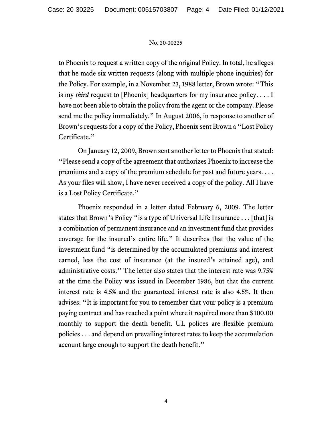to Phoenix to request a written copy of the original Policy. In total, he alleges that he made six written requests (along with multiple phone inquiries) for the Policy. For example, in a November 23, 1988 letter, Brown wrote: "This is my *third* request to [Phoenix] headquarters for my insurance policy. . . . I have not been able to obtain the policy from the agent or the company. Please send me the policy immediately." In August 2006, in response to another of Brown's requests for a copy of the Policy, Phoenix sent Brown a "Lost Policy Certificate."

On January 12, 2009, Brown sent another letter to Phoenix that stated: "Please send a copy of the agreement that authorizes Phoenix to increase the premiums and a copy of the premium schedule for past and future years. . . . As your files will show, I have never received a copy of the policy. All I have is a Lost Policy Certificate."

Phoenix responded in a letter dated February 6, 2009. The letter states that Brown's Policy "is a type of Universal Life Insurance . . . [that] is a combination of permanent insurance and an investment fund that provides coverage for the insured's entire life." It describes that the value of the investment fund "is determined by the accumulated premiums and interest earned, less the cost of insurance (at the insured's attained age), and administrative costs." The letter also states that the interest rate was 9.75% at the time the Policy was issued in December 1986, but that the current interest rate is 4.5% and the guaranteed interest rate is also 4.5%. It then advises: "It is important for you to remember that your policy is a premium paying contract and has reached a point where it required more than \$100.00 monthly to support the death benefit. UL polices are flexible premium policies . . . and depend on prevailing interest rates to keep the accumulation account large enough to support the death benefit."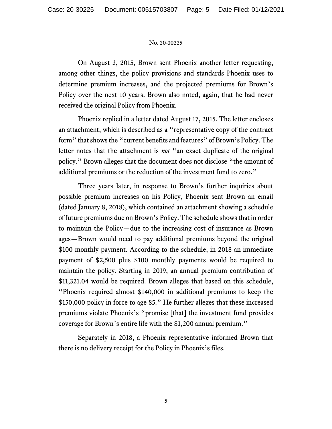On August 3, 2015, Brown sent Phoenix another letter requesting, among other things, the policy provisions and standards Phoenix uses to determine premium increases, and the projected premiums for Brown's Policy over the next 10 years. Brown also noted, again, that he had never received the original Policy from Phoenix.

Phoenix replied in a letter dated August 17, 2015. The letter encloses an attachment, which is described as a "representative copy of the contract form" that shows the "current benefits and features" of Brown's Policy. The letter notes that the attachment is *not* "an exact duplicate of the original policy." Brown alleges that the document does not disclose "the amount of additional premiums or the reduction of the investment fund to zero."

Three years later, in response to Brown's further inquiries about possible premium increases on his Policy, Phoenix sent Brown an email (dated January 8, 2018), which contained an attachment showing a schedule of future premiums due on Brown's Policy. The schedule shows that in order to maintain the Policy—due to the increasing cost of insurance as Brown ages—Brown would need to pay additional premiums beyond the original \$100 monthly payment. According to the schedule, in 2018 an immediate payment of \$2,500 plus \$100 monthly payments would be required to maintain the policy. Starting in 2019, an annual premium contribution of \$11,321.04 would be required. Brown alleges that based on this schedule, "Phoenix required almost \$140,000 in additional premiums to keep the \$150,000 policy in force to age 85." He further alleges that these increased premiums violate Phoenix's "promise [that] the investment fund provides coverage for Brown's entire life with the \$1,200 annual premium."

Separately in 2018, a Phoenix representative informed Brown that there is no delivery receipt for the Policy in Phoenix's files.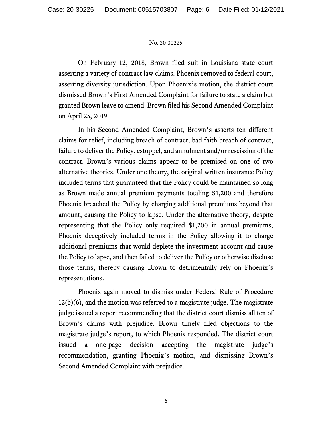On February 12, 2018, Brown filed suit in Louisiana state court asserting a variety of contract law claims. Phoenix removed to federal court, asserting diversity jurisdiction. Upon Phoenix's motion, the district court dismissed Brown's First Amended Complaint for failure to state a claim but granted Brown leave to amend. Brown filed his Second Amended Complaint on April 25, 2019.

In his Second Amended Complaint, Brown's asserts ten different claims for relief, including breach of contract, bad faith breach of contract, failure to deliver the Policy, estoppel, and annulment and/or rescission of the contract. Brown's various claims appear to be premised on one of two alternative theories. Under one theory, the original written insurance Policy included terms that guaranteed that the Policy could be maintained so long as Brown made annual premium payments totaling \$1,200 and therefore Phoenix breached the Policy by charging additional premiums beyond that amount, causing the Policy to lapse. Under the alternative theory, despite representing that the Policy only required \$1,200 in annual premiums, Phoenix deceptively included terms in the Policy allowing it to charge additional premiums that would deplete the investment account and cause the Policy to lapse, and then failed to deliver the Policy or otherwise disclose those terms, thereby causing Brown to detrimentally rely on Phoenix's representations.

Phoenix again moved to dismiss under Federal Rule of Procedure 12(b)(6), and the motion was referred to a magistrate judge. The magistrate judge issued a report recommending that the district court dismiss all ten of Brown's claims with prejudice. Brown timely filed objections to the magistrate judge's report, to which Phoenix responded. The district court issued a one-page decision accepting the magistrate judge's recommendation, granting Phoenix's motion, and dismissing Brown's Second Amended Complaint with prejudice.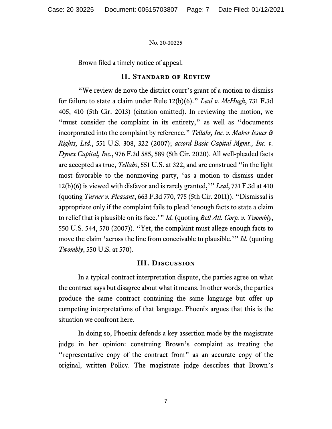Brown filed a timely notice of appeal.

### **II. Standard of Review**

"We review de novo the district court's grant of a motion to dismiss for failure to state a claim under Rule 12(b)(6)." *Leal v. McHugh*, 731 F.3d 405, 410 (5th Cir. 2013) (citation omitted). In reviewing the motion, we "must consider the complaint in its entirety," as well as "documents" incorporated into the complaint by reference." *Tellabs, Inc. v. Makor Issues & Rights, Ltd.*, 551 U.S. 308, 322 (2007); *accord Basic Capital Mgmt., Inc. v. Dynex Capital, Inc.*, 976 F.3d 585, 589 (5th Cir. 2020). All well-pleaded facts are accepted as true, *Tellabs*, 551 U.S. at 322, and are construed "in the light most favorable to the nonmoving party, 'as a motion to dismiss under 12(b)(6) is viewed with disfavor and is rarely granted,'" *Leal*, 731 F.3d at 410 (quoting *Turner v. Pleasant*, 663 F.3d 770, 775 (5th Cir. 2011)). "Dismissal is appropriate only if the complaint fails to plead 'enough facts to state a claim to relief that is plausible on its face.'" *Id.* (quoting *Bell Atl. Corp. v. Twombly*, 550 U.S. 544, 570 (2007)). "Yet, the complaint must allege enough facts to move the claim 'across the line from conceivable to plausible.'" *Id.* (quoting *Twombly*, 550 U.S. at 570).

# **III. Discussion**

In a typical contract interpretation dispute, the parties agree on what the contract says but disagree about what it means. In other words, the parties produce the same contract containing the same language but offer up competing interpretations of that language. Phoenix argues that this is the situation we confront here.

In doing so, Phoenix defends a key assertion made by the magistrate judge in her opinion: construing Brown's complaint as treating the "representative copy of the contract from" as an accurate copy of the original, written Policy. The magistrate judge describes that Brown's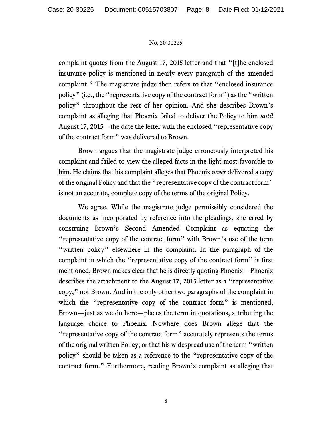complaint quotes from the August 17, 2015 letter and that "[t]he enclosed insurance policy is mentioned in nearly every paragraph of the amended complaint." The magistrate judge then refers to that "enclosed insurance policy" (i.e., the "representative copy of the contract form") as the "written policy" throughout the rest of her opinion. And she describes Brown's complaint as alleging that Phoenix failed to deliver the Policy to him *until*  August 17, 2015—the date the letter with the enclosed "representative copy of the contract form" was delivered to Brown.

Brown argues that the magistrate judge erroneously interpreted his complaint and failed to view the alleged facts in the light most favorable to him. He claims that his complaint alleges that Phoenix *never* delivered a copy of the original Policy and that the "representative copy of the contract form" is not an accurate, complete copy of the terms of the original Policy.

We agree. While the magistrate judge permissibly considered the documents as incorporated by reference into the pleadings, she erred by construing Brown's Second Amended Complaint as equating the "representative copy of the contract form" with Brown's use of the term "written policy" elsewhere in the complaint. In the paragraph of the complaint in which the "representative copy of the contract form" is first mentioned, Brown makes clear that he is directly quoting Phoenix—Phoenix describes the attachment to the August 17, 2015 letter as a "representative copy," not Brown. And in the only other two paragraphs of the complaint in which the "representative copy of the contract form" is mentioned, Brown—just as we do here—places the term in quotations, attributing the language choice to Phoenix. Nowhere does Brown allege that the "representative copy of the contract form" accurately represents the terms of the original written Policy, or that his widespread use of the term "written policy" should be taken as a reference to the "representative copy of the contract form." Furthermore, reading Brown's complaint as alleging that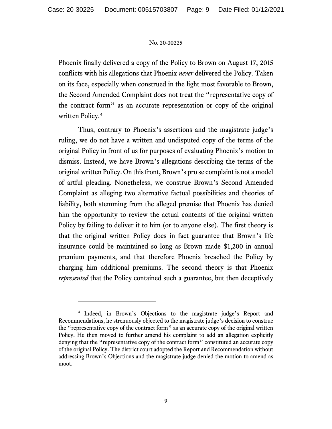Phoenix finally delivered a copy of the Policy to Brown on August 17, 2015 conflicts with his allegations that Phoenix *never* delivered the Policy. Taken on its face, especially when construed in the light most favorable to Brown, the Second Amended Complaint does not treat the "representative copy of the contract form" as an accurate representation or copy of the original written Policy.[4](#page-8-0)

Thus, contrary to Phoenix's assertions and the magistrate judge's ruling, we do not have a written and undisputed copy of the terms of the original Policy in front of us for purposes of evaluating Phoenix's motion to dismiss. Instead, we have Brown's allegations describing the terms of the original written Policy. On this front, Brown's pro se complaint is not a model of artful pleading. Nonetheless, we construe Brown's Second Amended Complaint as alleging two alternative factual possibilities and theories of liability, both stemming from the alleged premise that Phoenix has denied him the opportunity to review the actual contents of the original written Policy by failing to deliver it to him (or to anyone else). The first theory is that the original written Policy does in fact guarantee that Brown's life insurance could be maintained so long as Brown made \$1,200 in annual premium payments, and that therefore Phoenix breached the Policy by charging him additional premiums. The second theory is that Phoenix *represented* that the Policy contained such a guarantee, but then deceptively

<span id="page-8-0"></span><sup>4</sup> Indeed, in Brown's Objections to the magistrate judge's Report and Recommendations, he strenuously objected to the magistrate judge's decision to construe the "representative copy of the contract form" as an accurate copy of the original written Policy. He then moved to further amend his complaint to add an allegation explicitly denying that the "representative copy of the contract form" constituted an accurate copy of the original Policy. The district court adopted the Report and Recommendation without addressing Brown's Objections and the magistrate judge denied the motion to amend as moot.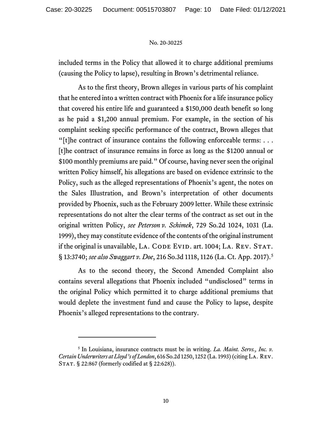included terms in the Policy that allowed it to charge additional premiums (causing the Policy to lapse), resulting in Brown's detrimental reliance.

As to the first theory, Brown alleges in various parts of his complaint that he entered into a written contract with Phoenix for a life insurance policy that covered his entire life and guaranteed a \$150,000 death benefit so long as he paid a \$1,200 annual premium. For example, in the section of his complaint seeking specific performance of the contract, Brown alleges that "[t]he contract of insurance contains the following enforceable terms:  $\dots$ [t]he contract of insurance remains in force as long as the \$1200 annual or \$100 monthly premiums are paid." Of course, having never seen the original written Policy himself, his allegations are based on evidence extrinsic to the Policy, such as the alleged representations of Phoenix's agent, the notes on the Sales Illustration, and Brown's interpretation of other documents provided by Phoenix, such as the February 2009 letter. While these extrinsic representations do not alter the clear terms of the contract as set out in the original written Policy, *see Peterson v. Schimek*, 729 So.2d 1024, 1031 (La. 1999), they may constitute evidence of the contents of the original instrument if the original is unavailable, LA. CODE EVID. art. 1004; LA. REV. STAT. § 13:3740; *see also Swaggart v. Doe*, 216 So.3d 1118, 1126 (La. Ct. App. 2017).[5](#page-9-0)

As to the second theory, the Second Amended Complaint also contains several allegations that Phoenix included "undisclosed" terms in the original Policy which permitted it to charge additional premiums that would deplete the investment fund and cause the Policy to lapse, despite Phoenix's alleged representations to the contrary.

<span id="page-9-0"></span><sup>5</sup> In Louisiana, insurance contracts must be in writing. *La. Maint. Servs., Inc. v. Certain Underwriters at Lloyd's of London*, 616 So.2d 1250, 1252 (La. 1993) (citing La. Rev. STAT. § 22:867 (formerly codified at § 22:628)).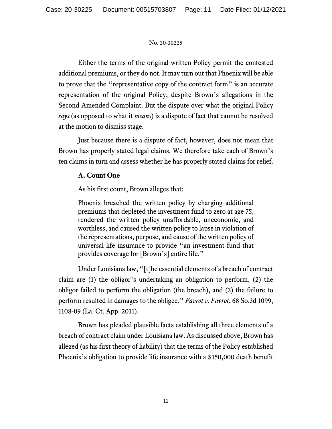Either the terms of the original written Policy permit the contested additional premiums, or they do not. It may turn out that Phoenix will be able to prove that the "representative copy of the contract form" is an accurate representation of the original Policy, despite Brown's allegations in the Second Amended Complaint. But the dispute over what the original Policy *says* (as opposed to what it *means*) is a dispute of fact that cannot be resolved at the motion to dismiss stage.

Just because there is a dispute of fact, however, does not mean that Brown has properly stated legal claims. We therefore take each of Brown's ten claims in turn and assess whether he has properly stated claims for relief.

### **A. Count One**

As his first count, Brown alleges that:

Phoenix breached the written policy by charging additional premiums that depleted the investment fund to zero at age 75, rendered the written policy unaffordable, uneconomic, and worthless, and caused the written policy to lapse in violation of the representations, purpose, and cause of the written policy of universal life insurance to provide "an investment fund that provides coverage for [Brown's] entire life."

Under Louisiana law, "[t]he essential elements of a breach of contract claim are (1) the obligor's undertaking an obligation to perform, (2) the obligor failed to perform the obligation (the breach), and (3) the failure to perform resulted in damages to the obligee." *Favrot v. Favrot*, 68 So.3d 1099, 1108-09 (La. Ct. App. 2011).

Brown has pleaded plausible facts establishing all three elements of a breach of contract claim under Louisiana law. As discussed above, Brown has alleged (as his first theory of liability) that the terms of the Policy established Phoenix's obligation to provide life insurance with a \$150,000 death benefit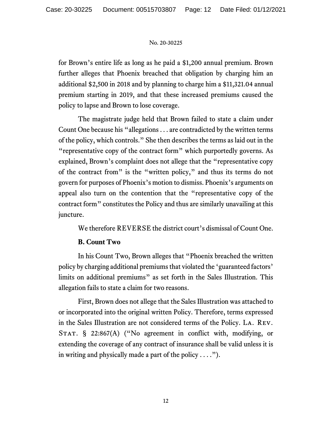for Brown's entire life as long as he paid a \$1,200 annual premium. Brown further alleges that Phoenix breached that obligation by charging him an additional \$2,500 in 2018 and by planning to charge him a \$11,321.04 annual premium starting in 2019, and that these increased premiums caused the policy to lapse and Brown to lose coverage.

The magistrate judge held that Brown failed to state a claim under Count One because his "allegations . . . are contradicted by the written terms of the policy, which controls." She then describes the terms as laid out in the "representative copy of the contract form" which purportedly governs. As explained, Brown's complaint does not allege that the "representative copy of the contract from" is the "written policy," and thus its terms do not govern for purposes of Phoenix's motion to dismiss. Phoenix's arguments on appeal also turn on the contention that the "representative copy of the contract form" constitutes the Policy and thus are similarly unavailing at this juncture.

We therefore REVERSE the district court's dismissal of Count One.

# **B. Count Two**

In his Count Two, Brown alleges that "Phoenix breached the written policy by charging additional premiums that violated the 'guaranteed factors' limits on additional premiums" as set forth in the Sales Illustration. This allegation fails to state a claim for two reasons.

First, Brown does not allege that the Sales Illustration was attached to or incorporated into the original written Policy. Therefore, terms expressed in the Sales Illustration are not considered terms of the Policy. La. Rev. STAT. § 22:867(A) ("No agreement in conflict with, modifying, or extending the coverage of any contract of insurance shall be valid unless it is in writing and physically made a part of the policy  $\dots$ .").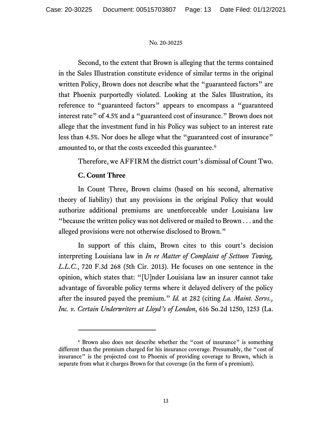Second, to the extent that Brown is alleging that the terms contained in the Sales Illustration constitute evidence of similar terms in the original written Policy, Brown does not describe what the "guaranteed factors" are that Phoenix purportedly violated. Looking at the Sales Illustration, its reference to "guaranteed factors" appears to encompass a "guaranteed interest rate" of 4.5% and a "guaranteed cost of insurance." Brown does not allege that the investment fund in his Policy was subject to an interest rate less than 4.5%. Nor does he allege what the "guaranteed cost of insurance" amounted to, or that the costs exceeded this guarantee.<sup>[6](#page-12-0)</sup>

Therefore, we AFFIRM the district court's dismissal of Count Two.

# **C. Count Three**

In Count Three, Brown claims (based on his second, alternative theory of liability) that any provisions in the original Policy that would authorize additional premiums are unenforceable under Louisiana law "because the written policy was not delivered or mailed to Brown . . . and the alleged provisions were not otherwise disclosed to Brown."

In support of this claim, Brown cites to this court's decision interpreting Louisiana law in *In re Matter of Complaint of Settoon Towing, L.L.C.*, 720 F.3d 268 (5th Cir. 2013). He focuses on one sentence in the opinion, which states that: "[U]nder Louisiana law an insurer cannot take advantage of favorable policy terms where it delayed delivery of the policy after the insured payed the premium." *Id.* at 282 (citing *La. Maint. Servs., Inc. v. Certain Underwriters at Lloyd's of London*, 616 So.2d 1250, 1253 (La.

<span id="page-12-0"></span><sup>&</sup>lt;sup>6</sup> Brown also does not describe whether the "cost of insurance" is something different than the premium charged for his insurance coverage. Presumably, the "cost of insurance" is the projected cost to Phoenix of providing coverage to Brown, which is separate from what it charges Brown for that coverage (in the form of a premium).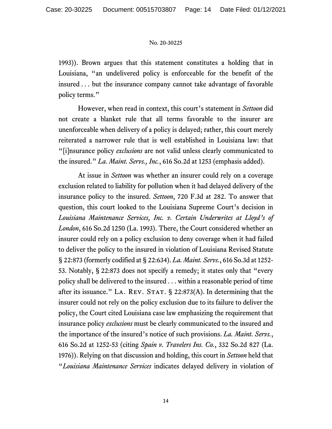1993)). Brown argues that this statement constitutes a holding that in Louisiana, "an undelivered policy is enforceable for the benefit of the insured . . . but the insurance company cannot take advantage of favorable policy terms."

However, when read in context, this court's statement in *Settoon* did not create a blanket rule that all terms favorable to the insurer are unenforceable when delivery of a policy is delayed; rather, this court merely reiterated a narrower rule that is well established in Louisiana law: that "[i]nsurance policy *exclusions* are not valid unless clearly communicated to the insured." *La. Maint. Servs., Inc.*, 616 So.2d at 1253 (emphasis added).

At issue in *Settoon* was whether an insurer could rely on a coverage exclusion related to liability for pollution when it had delayed delivery of the insurance policy to the insured. *Settoon*, 720 F.3d at 282. To answer that question, this court looked to the Louisiana Supreme Court's decision in *Louisiana Maintenance Services, Inc. v. Certain Underwrites at Lloyd's of London*, 616 So.2d 1250 (La. 1993). There, the Court considered whether an insurer could rely on a policy exclusion to deny coverage when it had failed to deliver the policy to the insured in violation of Louisiana Revised Statute § 22:873 (formerly codified at § 22:634). *La. Maint. Servs.*, 616 So.3d at 1252- 53. Notably, § 22:873 does not specify a remedy; it states only that "every policy shall be delivered to the insured . . . within a reasonable period of time after its issuance." LA. REV. STAT.  $\S$  22:873(A). In determining that the insurer could not rely on the policy exclusion due to its failure to deliver the policy, the Court cited Louisiana case law emphasizing the requirement that insurance policy *exclusions* must be clearly communicated to the insured and the importance of the insured's notice of such provisions. *La. Maint. Servs.*, 616 So.2d at 1252-53 (citing *Spain v. Travelers Ins. Co.*, 332 So.2d 827 (La. 1976)). Relying on that discussion and holding, this court in *Settoon* held that "*Louisiana Maintenance Services* indicates delayed delivery in violation of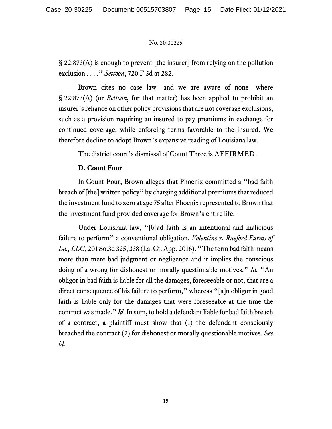§ 22:873(A) is enough to prevent [the insurer] from relying on the pollution exclusion . . . ." *Settoon*, 720 F.3d at 282.

Brown cites no case law—and we are aware of none—where § 22:873(A) (or *Settoon*, for that matter) has been applied to prohibit an insurer's reliance on other policy provisions that are not coverage exclusions, such as a provision requiring an insured to pay premiums in exchange for continued coverage, while enforcing terms favorable to the insured. We therefore decline to adopt Brown's expansive reading of Louisiana law.

The district court's dismissal of Count Three is AFFIRMED.

# **D. Count Four**

In Count Four, Brown alleges that Phoenix committed a "bad faith breach of [the] written policy" by charging additional premiums that reduced the investment fund to zero at age 75 after Phoenix represented to Brown that the investment fund provided coverage for Brown's entire life.

Under Louisiana law, "[b]ad faith is an intentional and malicious failure to perform" a conventional obligation. *Volentine v. Raeford Farms of La., LLC*, 201 So.3d 325, 338 (La. Ct. App. 2016). "The term bad faith means more than mere bad judgment or negligence and it implies the conscious doing of a wrong for dishonest or morally questionable motives." *Id.* "An obligor in bad faith is liable for all the damages, foreseeable or not, that are a direct consequence of his failure to perform," whereas "[a]n obligor in good faith is liable only for the damages that were foreseeable at the time the contract was made." *Id.* In sum, to hold a defendant liable for bad faith breach of a contract, a plaintiff must show that (1) the defendant consciously breached the contract (2) for dishonest or morally questionable motives. *See id.*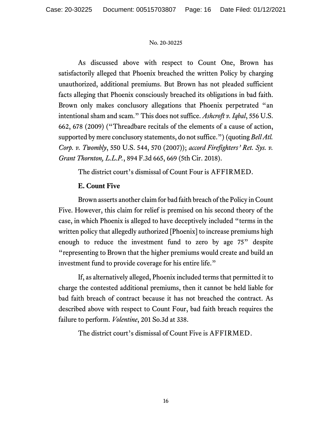As discussed above with respect to Count One, Brown has satisfactorily alleged that Phoenix breached the written Policy by charging unauthorized, additional premiums. But Brown has not pleaded sufficient facts alleging that Phoenix consciously breached its obligations in bad faith. Brown only makes conclusory allegations that Phoenix perpetrated "an intentional sham and scam." This does not suffice. *Ashcroft v. Iqbal*, 556 U.S. 662, 678 (2009) ("Threadbare recitals of the elements of a cause of action, supported by mere conclusory statements, do not suffice.") (quoting *Bell Atl. Corp. v. Twombly*, 550 U.S. 544, 570 (2007)); *accord Firefighters' Ret. Sys. v. Grant Thornton, L.L.P.*, 894 F.3d 665, 669 (5th Cir. 2018).

The district court's dismissal of Count Four is AFFIRMED.

### **E. Count Five**

Brown asserts another claim for bad faith breach of the Policy in Count Five. However, this claim for relief is premised on his second theory of the case, in which Phoenix is alleged to have deceptively included "terms in the written policy that allegedly authorized [Phoenix] to increase premiums high enough to reduce the investment fund to zero by age 75" despite "representing to Brown that the higher premiums would create and build an investment fund to provide coverage for his entire life."

If, as alternatively alleged, Phoenix included terms that permitted it to charge the contested additional premiums, then it cannot be held liable for bad faith breach of contract because it has not breached the contract. As described above with respect to Count Four, bad faith breach requires the failure to perform. *Volentine*, 201 So.3d at 338.

The district court's dismissal of Count Five is AFFIRMED.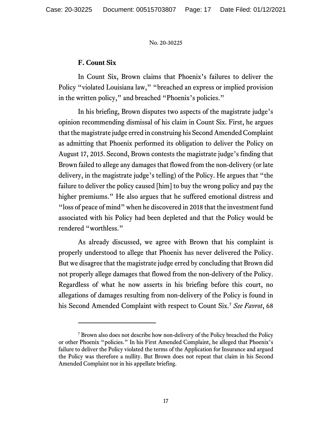### **F. Count Six**

In Count Six, Brown claims that Phoenix's failures to deliver the Policy "violated Louisiana law," "breached an express or implied provision in the written policy," and breached "Phoenix's policies."

In his briefing, Brown disputes two aspects of the magistrate judge's opinion recommending dismissal of his claim in Count Six. First, he argues that the magistrate judge erred in construing his Second Amended Complaint as admitting that Phoenix performed its obligation to deliver the Policy on August 17, 2015. Second, Brown contests the magistrate judge's finding that Brown failed to allege any damages that flowed from the non-delivery (or late delivery, in the magistrate judge's telling) of the Policy. He argues that "the failure to deliver the policy caused [him] to buy the wrong policy and pay the higher premiums." He also argues that he suffered emotional distress and "loss of peace of mind" when he discovered in 2018 that the investment fund associated with his Policy had been depleted and that the Policy would be rendered "worthless."

As already discussed, we agree with Brown that his complaint is properly understood to allege that Phoenix has never delivered the Policy. But we disagree that the magistrate judge erred by concluding that Brown did not properly allege damages that flowed from the non-delivery of the Policy. Regardless of what he now asserts in his briefing before this court, no allegations of damages resulting from non-delivery of the Policy is found in his Second Amended Complaint with respect to Count Six.[7](#page-16-0) *See Favrot*, 68

<span id="page-16-0"></span><sup>7</sup> Brown also does not describe how non-delivery of the Policy breached the Policy or other Phoenix "policies." In his First Amended Complaint, he alleged that Phoenix's failure to deliver the Policy violated the terms of the Application for Insurance and argued the Policy was therefore a nullity. But Brown does not repeat that claim in his Second Amended Complaint nor in his appellate briefing.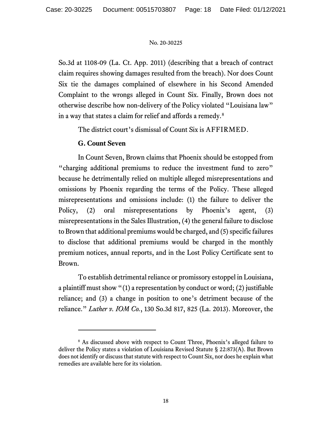So.3d at 1108-09 (La. Ct. App. 2011) (describing that a breach of contract claim requires showing damages resulted from the breach). Nor does Count Six tie the damages complained of elsewhere in his Second Amended Complaint to the wrongs alleged in Count Six. Finally, Brown does not otherwise describe how non-delivery of the Policy violated "Louisiana law" in a way that states a claim for relief and affords a remedy.[8](#page-17-0)

The district court's dismissal of Count Six is AFFIRMED.

### **G. Count Seven**

In Count Seven, Brown claims that Phoenix should be estopped from "charging additional premiums to reduce the investment fund to zero" because he detrimentally relied on multiple alleged misrepresentations and omissions by Phoenix regarding the terms of the Policy. These alleged misrepresentations and omissions include: (1) the failure to deliver the Policy, (2) oral misrepresentations by Phoenix's agent, (3) misrepresentations in the Sales Illustration, (4) the general failure to disclose to Brown that additional premiums would be charged, and (5) specific failures to disclose that additional premiums would be charged in the monthly premium notices, annual reports, and in the Lost Policy Certificate sent to Brown.

To establish detrimental reliance or promissory estoppel in Louisiana, a plaintiff must show "(1) a representation by conduct or word; (2) justifiable reliance; and (3) a change in position to one's detriment because of the reliance." *Luther v. IOM Co.*, 130 So.3d 817, 825 (La. 2013). Moreover, the

<span id="page-17-0"></span><sup>&</sup>lt;sup>8</sup> As discussed above with respect to Count Three, Phoenix's alleged failure to deliver the Policy states a violation of Louisiana Revised Statute § 22:873(A). But Brown does not identify or discuss that statute with respect to Count Six, nor does he explain what remedies are available here for its violation.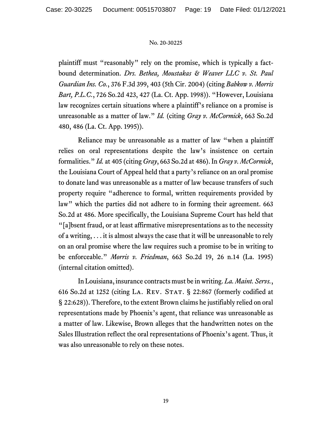plaintiff must "reasonably" rely on the promise, which is typically a factbound determination. *Drs. Bethea, Moustakas & Weaver LLC v. St. Paul Guardian Ins. Co.*, 376 F.3d 399, 403 (5th Cir. 2004) (citing *Babkow v. Morris Bart, P.L.C.*, 726 So.2d 423, 427 (La. Ct. App. 1998)). "However, Louisiana law recognizes certain situations where a plaintiff's reliance on a promise is unreasonable as a matter of law." *Id.* (citing *Gray v. McCormick*, 663 So.2d 480, 486 (La. Ct. App. 1995)).

Reliance may be unreasonable as a matter of law "when a plaintiff relies on oral representations despite the law's insistence on certain formalities." *Id.* at 405 (citing *Gray*, 663 So.2d at 486). In *Gray v. McCormick*, the Louisiana Court of Appeal held that a party's reliance on an oral promise to donate land was unreasonable as a matter of law because transfers of such property require "adherence to formal, written requirements provided by law" which the parties did not adhere to in forming their agreement. 663 So.2d at 486. More specifically, the Louisiana Supreme Court has held that "[a]bsent fraud, or at least affirmative misrepresentations as to the necessity of a writing, . . . it is almost always the case that it will be unreasonable to rely on an oral promise where the law requires such a promise to be in writing to be enforceable." *Morris v. Friedman*, 663 So.2d 19, 26 n.14 (La. 1995) (internal citation omitted).

In Louisiana, insurance contracts must be in writing. *La. Maint. Servs.*, 616 So.2d at 1252 (citing LA. REV. STAT.  $\S$  22:867 (formerly codified at § 22:628)). Therefore, to the extent Brown claims he justifiably relied on oral representations made by Phoenix's agent, that reliance was unreasonable as a matter of law. Likewise, Brown alleges that the handwritten notes on the Sales Illustration reflect the oral representations of Phoenix's agent. Thus, it was also unreasonable to rely on these notes.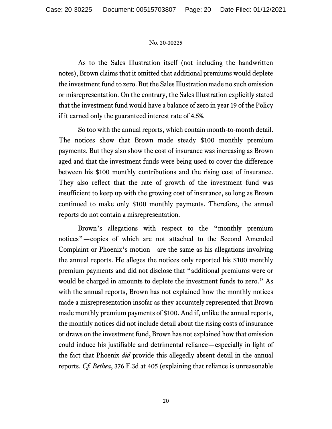As to the Sales Illustration itself (not including the handwritten notes), Brown claims that it omitted that additional premiums would deplete the investment fund to zero. But the Sales Illustration made no such omission or misrepresentation. On the contrary, the Sales Illustration explicitly stated that the investment fund would have a balance of zero in year 19 of the Policy if it earned only the guaranteed interest rate of 4.5%.

So too with the annual reports, which contain month-to-month detail. The notices show that Brown made steady \$100 monthly premium payments. But they also show the cost of insurance was increasing as Brown aged and that the investment funds were being used to cover the difference between his \$100 monthly contributions and the rising cost of insurance. They also reflect that the rate of growth of the investment fund was insufficient to keep up with the growing cost of insurance, so long as Brown continued to make only \$100 monthly payments. Therefore, the annual reports do not contain a misrepresentation.

Brown's allegations with respect to the "monthly premium notices"—copies of which are not attached to the Second Amended Complaint or Phoenix's motion—are the same as his allegations involving the annual reports. He alleges the notices only reported his \$100 monthly premium payments and did not disclose that "additional premiums were or would be charged in amounts to deplete the investment funds to zero." As with the annual reports, Brown has not explained how the monthly notices made a misrepresentation insofar as they accurately represented that Brown made monthly premium payments of \$100. And if, unlike the annual reports, the monthly notices did not include detail about the rising costs of insurance or draws on the investment fund, Brown has not explained how that omission could induce his justifiable and detrimental reliance—especially in light of the fact that Phoenix *did* provide this allegedly absent detail in the annual reports. *Cf. Bethea*, 376 F.3d at 405 (explaining that reliance is unreasonable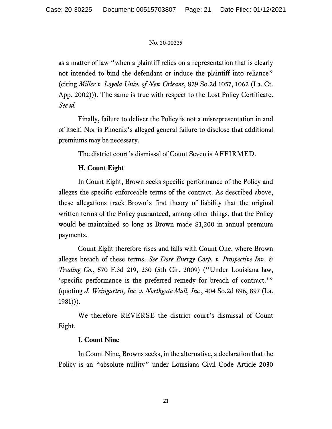as a matter of law "when a plaintiff relies on a representation that is clearly not intended to bind the defendant or induce the plaintiff into reliance" (citing *Miller v. Loyola Univ. of New Orleans*, 829 So.2d 1057, 1062 (La. Ct. App. 2002))). The same is true with respect to the Lost Policy Certificate. *See id.*

Finally, failure to deliver the Policy is not a misrepresentation in and of itself. Nor is Phoenix's alleged general failure to disclose that additional premiums may be necessary.

The district court's dismissal of Count Seven is AFFIRMED.

# **H. Count Eight**

In Count Eight, Brown seeks specific performance of the Policy and alleges the specific enforceable terms of the contract. As described above, these allegations track Brown's first theory of liability that the original written terms of the Policy guaranteed, among other things, that the Policy would be maintained so long as Brown made \$1,200 in annual premium payments.

Count Eight therefore rises and falls with Count One, where Brown alleges breach of these terms. *See Dore Energy Corp. v. Prospective Inv. & Trading Co.*, 570 F.3d 219, 230 (5th Cir. 2009) ("Under Louisiana law, 'specific performance is the preferred remedy for breach of contract.'" (quoting *J. Weingarten, Inc. v. Northgate Mall, Inc.*, 404 So.2d 896, 897 (La. 1981))).

We therefore REVERSE the district court's dismissal of Count Eight.

# **I. Count Nine**

In Count Nine, Browns seeks, in the alternative, a declaration that the Policy is an "absolute nullity" under Louisiana Civil Code Article 2030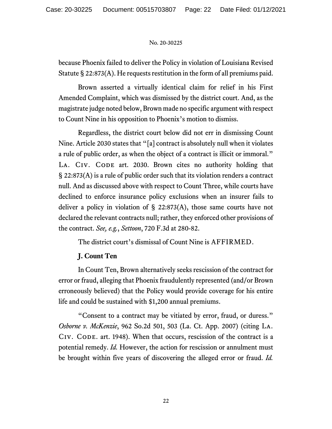because Phoenix failed to deliver the Policy in violation of Louisiana Revised Statute § 22:873(A). He requests restitution in the form of all premiums paid.

Brown asserted a virtually identical claim for relief in his First Amended Complaint, which was dismissed by the district court. And, as the magistrate judge noted below, Brown made no specific argument with respect to Count Nine in his opposition to Phoenix's motion to dismiss.

Regardless, the district court below did not err in dismissing Count Nine. Article 2030 states that "[a] contract is absolutely null when it violates a rule of public order, as when the object of a contract is illicit or immoral." LA. CIV. CODE art. 2030. Brown cites no authority holding that § 22:873(A) is a rule of public order such that its violation renders a contract null. And as discussed above with respect to Count Three, while courts have declined to enforce insurance policy exclusions when an insurer fails to deliver a policy in violation of  $\S$  22:873(A), those same courts have not declared the relevant contracts null; rather, they enforced other provisions of the contract. *See, e.g.*, *Settoon*, 720 F.3d at 280-82.

The district court's dismissal of Count Nine is AFFIRMED.

# **J. Count Ten**

In Count Ten, Brown alternatively seeks rescission of the contract for error or fraud, alleging that Phoenix fraudulently represented (and/or Brown erroneously believed) that the Policy would provide coverage for his entire life and could be sustained with \$1,200 annual premiums.

"Consent to a contract may be vitiated by error, fraud, or duress." *Osborne v. McKenzie*, 962 So.2d 501, 503 (La. Ct. App. 2007) (citing La. CIV. CODE. art. 1948). When that occurs, rescission of the contract is a potential remedy. *Id.* However, the action for rescission or annulment must be brought within five years of discovering the alleged error or fraud. *Id.*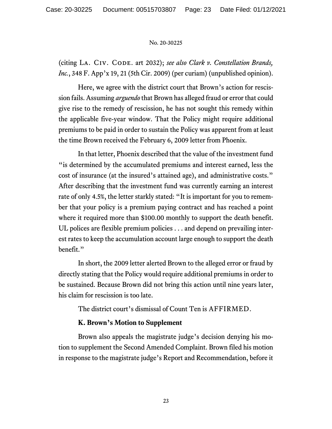(citing LA. CIV. CODE. art 2032); *see also Clark v. Constellation Brands*, *Inc.*, 348 F. App'x 19, 21 (5th Cir. 2009) (per curiam) (unpublished opinion).

Here, we agree with the district court that Brown's action for rescission fails. Assuming *arguendo*that Brown has alleged fraud or error that could give rise to the remedy of rescission, he has not sought this remedy within the applicable five-year window. That the Policy might require additional premiums to be paid in order to sustain the Policy was apparent from at least the time Brown received the February 6, 2009 letter from Phoenix.

In that letter, Phoenix described that the value of the investment fund "is determined by the accumulated premiums and interest earned, less the cost of insurance (at the insured's attained age), and administrative costs." After describing that the investment fund was currently earning an interest rate of only 4.5%, the letter starkly stated: "It is important for you to remember that your policy is a premium paying contract and has reached a point where it required more than \$100.00 monthly to support the death benefit. UL polices are flexible premium policies . . . and depend on prevailing interest rates to keep the accumulation account large enough to support the death benefit."

In short, the 2009 letter alerted Brown to the alleged error or fraud by directly stating that the Policy would require additional premiums in order to be sustained. Because Brown did not bring this action until nine years later, his claim for rescission is too late.

The district court's dismissal of Count Ten is AFFIRMED.

### **K. Brown's Motion to Supplement**

Brown also appeals the magistrate judge's decision denying his motion to supplement the Second Amended Complaint. Brown filed his motion in response to the magistrate judge's Report and Recommendation, before it